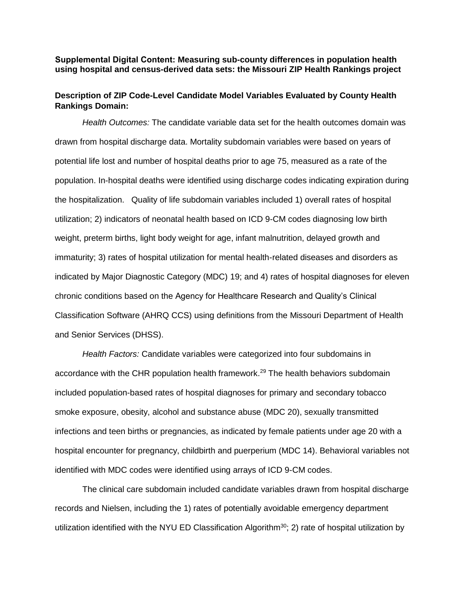**Supplemental Digital Content: Measuring sub-county differences in population health using hospital and census-derived data sets: the Missouri ZIP Health Rankings project** 

# **Description of ZIP Code-Level Candidate Model Variables Evaluated by County Health Rankings Domain:**

*Health Outcomes:* The candidate variable data set for the health outcomes domain was drawn from hospital discharge data. Mortality subdomain variables were based on years of potential life lost and number of hospital deaths prior to age 75, measured as a rate of the population. In-hospital deaths were identified using discharge codes indicating expiration during the hospitalization. Quality of life subdomain variables included 1) overall rates of hospital utilization; 2) indicators of neonatal health based on ICD 9-CM codes diagnosing low birth weight, preterm births, light body weight for age, infant malnutrition, delayed growth and immaturity; 3) rates of hospital utilization for mental health-related diseases and disorders as indicated by Major Diagnostic Category (MDC) 19; and 4) rates of hospital diagnoses for eleven chronic conditions based on the Agency for Healthcare Research and Quality's Clinical Classification Software (AHRQ CCS) using definitions from the Missouri Department of Health and Senior Services (DHSS).

*Health Factors:* Candidate variables were categorized into four subdomains in accordance with the CHR population health framework.<sup>29</sup> The health behaviors subdomain included population-based rates of hospital diagnoses for primary and secondary tobacco smoke exposure, obesity, alcohol and substance abuse (MDC 20), sexually transmitted infections and teen births or pregnancies, as indicated by female patients under age 20 with a hospital encounter for pregnancy, childbirth and puerperium (MDC 14). Behavioral variables not identified with MDC codes were identified using arrays of ICD 9-CM codes.

The clinical care subdomain included candidate variables drawn from hospital discharge records and Nielsen, including the 1) rates of potentially avoidable emergency department utilization identified with the NYU ED Classification Algorithm<sup>30</sup>; 2) rate of hospital utilization by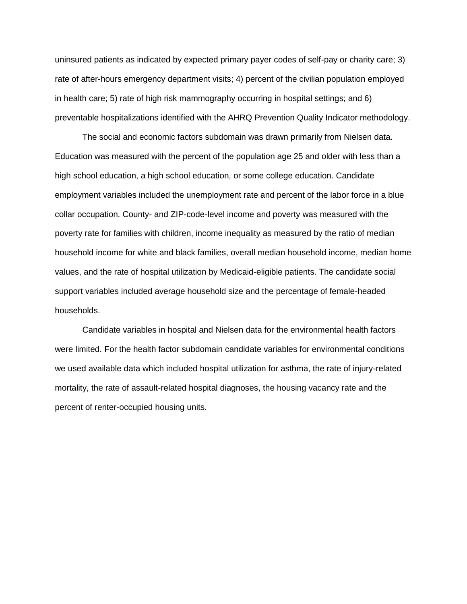uninsured patients as indicated by expected primary payer codes of self-pay or charity care; 3) rate of after-hours emergency department visits; 4) percent of the civilian population employed in health care; 5) rate of high risk mammography occurring in hospital settings; and 6) preventable hospitalizations identified with the AHRQ Prevention Quality Indicator methodology.

The social and economic factors subdomain was drawn primarily from Nielsen data. Education was measured with the percent of the population age 25 and older with less than a high school education, a high school education, or some college education. Candidate employment variables included the unemployment rate and percent of the labor force in a blue collar occupation. County- and ZIP-code-level income and poverty was measured with the poverty rate for families with children, income inequality as measured by the ratio of median household income for white and black families, overall median household income, median home values, and the rate of hospital utilization by Medicaid-eligible patients. The candidate social support variables included average household size and the percentage of female-headed households.

Candidate variables in hospital and Nielsen data for the environmental health factors were limited. For the health factor subdomain candidate variables for environmental conditions we used available data which included hospital utilization for asthma, the rate of injury-related mortality, the rate of assault-related hospital diagnoses, the housing vacancy rate and the percent of renter-occupied housing units.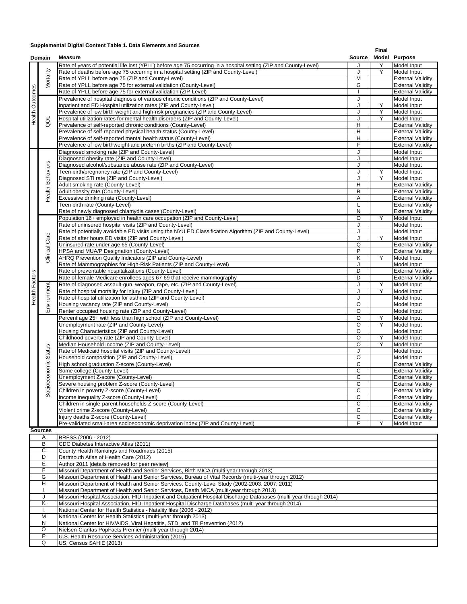#### **Supplemental Digital Content Table 1. Data Elements and Sources**

| Domain                   |                         | <b>Measure</b>                                                                                                   |                         | Final |                          |  |
|--------------------------|-------------------------|------------------------------------------------------------------------------------------------------------------|-------------------------|-------|--------------------------|--|
|                          |                         |                                                                                                                  |                         |       | Model Purpose            |  |
|                          |                         | Rate of years of potential life lost (YPLL) before age 75 occurring in a hospital setting (ZIP and County-Level) | J                       | Y     | Model Input              |  |
|                          | Mortality               | Rate of deaths before age 75 occurring in a hospital setting (ZIP and County-Level)                              | J                       | Υ     | Model Input              |  |
|                          |                         | Rate of YPLL before age 75 (ZIP and County-Level)                                                                | M                       |       | <b>External Validity</b> |  |
|                          |                         | Rate of YPLL before age 75 for external validation (County-Level)                                                | G                       |       | <b>External Validity</b> |  |
|                          |                         | Rate of YPLL before age 75 for external validation (ZIP-Level)                                                   |                         |       | <b>External Validity</b> |  |
| Health Outcomes          |                         |                                                                                                                  |                         |       |                          |  |
|                          |                         | Prevalence of hospital diagnosis of various chronic conditions (ZIP and County-Level)                            | J                       |       | Model Input              |  |
|                          |                         | Inpatient and ED Hospital utilization rates (ZIP and County-Level)                                               | J                       | Υ     | Model Input              |  |
|                          | pd                      | Prevalence of low birth-weight and high-risk pregnancies (ZIP and County-Level)                                  | J                       | Y     | Model Input              |  |
|                          |                         | Hospital utilization rates for mental health disorders (ZIP and County-Level)                                    | J                       | Y     | Model Input              |  |
|                          |                         | Prevalence of self-reported chronic conditions (County-Level)                                                    | H                       |       | <b>External Validity</b> |  |
|                          |                         | Prevalence of self-reported physical health status (County-Level)                                                | H                       |       | <b>External Validity</b> |  |
|                          |                         | Prevalence of self-reported mental health status (County-Level)                                                  | H                       |       | <b>External Validity</b> |  |
|                          |                         | Prevalence of low birthweight and preterm births (ZIP and County-Level)                                          | F                       |       | <b>External Validity</b> |  |
|                          |                         | Diagnosed smoking rate (ZIP and County-Level)                                                                    | J                       |       | Model Input              |  |
|                          |                         | Diagnosed obesity rate (ZIP and County-Level)                                                                    | J                       |       | Model Input              |  |
|                          |                         | Diagnosed alcohol/substance abuse rate (ZIP and County-Level)                                                    | J                       |       | Model Input              |  |
|                          |                         | Teen birth/pregnancy rate (ZIP and County-Level)                                                                 | J                       | Υ     | Model Input              |  |
|                          |                         | Diagnosed STI rate (ZIP and County-Level)                                                                        | J                       | Y     |                          |  |
|                          |                         |                                                                                                                  |                         |       | Model Input              |  |
|                          | Health Behaviors        | Adult smoking rate (County-Level)                                                                                | H                       |       | <b>External Validity</b> |  |
|                          |                         | Adult obesity rate (County-Level)                                                                                | B                       |       | <b>External Validity</b> |  |
|                          |                         | Excessive drinking rate (County-Level)                                                                           | A                       |       | <b>External Validity</b> |  |
|                          |                         | Teen birth rate (County-Level)                                                                                   | L                       |       | <b>External Validity</b> |  |
|                          |                         | Rate of newly diagnosed chlamydia cases (County-Level)                                                           | $\overline{\mathsf{N}}$ |       | <b>External Validity</b> |  |
|                          |                         | Population 16+ employed in health care occupation (ZIP and County-Level)                                         | $\circ$                 | Y     | Model Input              |  |
|                          |                         | Rate of uninsured hospital visits (ZIP and County-Level)                                                         | J                       |       | Model Input              |  |
|                          |                         | Rate of potentially avoidable ED visits using the NYU ED Classification Algorithm (ZIP and County-Level)         | J                       |       | Model Input              |  |
|                          |                         | Rate of after hours ED visits (ZIP and County-Level)                                                             | J                       | Y     | Model Input              |  |
|                          | Clinical Care           | Uninsured rate under age 65 (County-Level)                                                                       | Q                       |       | <b>External Validity</b> |  |
|                          |                         | HPSA and MUA/P Designation (County-Level)                                                                        | P                       |       | <b>External Validity</b> |  |
|                          |                         | AHRQ Prevention Quality Indicators (ZIP and County-Level)                                                        | Κ                       | Y     | Model Input              |  |
|                          |                         | Rate of Mammographies for High-Risk Patients (ZIP and County-Level)                                              | J                       |       | Model Input              |  |
|                          |                         | Rate of preventable hospitalizations (County-Level)                                                              | D                       |       | <b>External Validity</b> |  |
|                          |                         |                                                                                                                  | D                       |       |                          |  |
| <b>Health Factors</b>    |                         | Rate of female Medicare enrollees ages 67-69 that receive mammography                                            |                         |       | <b>External Validity</b> |  |
|                          | Environment             | Rate of diagnosed assault-gun, weapon, rape, etc. (ZIP and County-Level)                                         | J                       | Υ     | Model Input              |  |
|                          |                         | Rate of hospital mortality for injury (ZIP and County-Level)                                                     | J                       | Y     | Model Input              |  |
|                          |                         | Rate of hospital utilization for asthma (ZIP and County-Level)                                                   | J                       |       | Model Input              |  |
|                          |                         | Housing vacancy rate (ZIP and County-Level)                                                                      | O                       |       | Model Input              |  |
|                          |                         | Renter occupied housing rate (ZIP and County-Level)                                                              | O                       |       | Model Input              |  |
|                          |                         | Percent age 25+ with less than high school (ZIP and County-Level)                                                | O                       | Υ     | Model Input              |  |
|                          |                         | Unemployment rate (ZIP and County-Level)                                                                         | O                       | Y     | Model Input              |  |
|                          | cioeconomic Status<br>ઝ | Housing Characteristics (ZIP and County-Level)                                                                   | O                       |       | Model Input              |  |
|                          |                         | Childhood poverty rate (ZIP and County-Level)                                                                    | $\overline{O}$          | Υ     | Model Input              |  |
|                          |                         | Median Household Income (ZIP and County-Level)                                                                   | $\circ$                 | Y     | Model Input              |  |
|                          |                         | Rate of Medicaid hospital visits (ZIP and County-Level)                                                          | J                       |       | Model Input              |  |
|                          |                         | Household composition (ZIP and County-Level)                                                                     | O                       |       | Model Input              |  |
|                          |                         | High school graduation Z-score (County-Level)                                                                    | $\mathsf{C}$            |       | <b>External Validity</b> |  |
|                          |                         | Some college (County-Level)                                                                                      |                         |       | <b>External Validity</b> |  |
|                          |                         |                                                                                                                  | $\mathbf C$             |       |                          |  |
|                          |                         | Unemployment Z-score (County-Level)                                                                              | C                       |       | <b>External Validity</b> |  |
|                          |                         | Severe housing problem Z-score (County-Level)                                                                    | C                       |       | <b>External Validity</b> |  |
|                          |                         | Children in poverty Z-score (County-Level)                                                                       | С                       |       | <b>External Validity</b> |  |
|                          |                         | Income inequality Z-score (County-Level)                                                                         | С                       |       | <b>External Validity</b> |  |
|                          |                         | Children in single-parent households Z-score (County-Level)                                                      | C                       |       | <b>External Validity</b> |  |
|                          |                         | Violent crime Z-score (County-Level)                                                                             | C                       |       | <b>External Validity</b> |  |
|                          |                         | Injury deaths Z-score (County-Level)                                                                             | $\mathsf C$             |       | <b>External Validity</b> |  |
|                          |                         | Pre-validated small-area socioeconomic deprivation index (ZIP and County-Level)                                  | Е                       | Y     | Model Input              |  |
|                          | <b>Sources</b>          |                                                                                                                  |                         |       |                          |  |
| BRFSS (2006 - 2012)<br>Α |                         |                                                                                                                  |                         |       |                          |  |
|                          | В                       | CDC Diabetes Interactive Atlas (2011)                                                                            |                         |       |                          |  |
|                          | С                       | County Health Rankings and Roadmaps (2015)                                                                       |                         |       |                          |  |
|                          |                         |                                                                                                                  |                         |       |                          |  |

| A       | BRFSS (2006 - 2012)                                                                                                 |
|---------|---------------------------------------------------------------------------------------------------------------------|
| В       | CDC Diabetes Interactive Atlas (2011)                                                                               |
| C       | County Health Rankings and Roadmaps (2015)                                                                          |
| D       | Dartmouth Atlas of Health Care (2012)                                                                               |
| E.      | Author 2011 [details removed for peer review]                                                                       |
| F.      | Missouri Department of Health and Senior Services, Birth MICA (multi-year through 2013)                             |
| G       | Missouri Department of Health and Senior Services, Bureau of Vital Records (multi-year through 2012)                |
| H       | Missouri Department of Health and Senior Services, County-Level Study (2002-2003, 2007, 2011)                       |
|         | Missouri Department of Health and Senior Services, Death MICA (multi-year through 2013)                             |
| J       | Missouri Hospital Association, HIDI Inpatient and Outpatient Hospital Discharge Databases (multi-year through 2014) |
| K       | Missouri Hospital Association, HIDI Inpatient Hospital Discharge Databases (multi-year through 2014)                |
|         | National Center for Health Statistics - Natality files (2006 - 2012)                                                |
| M       | National Center for Health Statistics (multi-vear through 2013)                                                     |
| N       | National Center for HIV/AIDS, Viral Hepatitis, STD, and TB Prevention (2012)                                        |
| $\circ$ | Nielsen-Claritas PopFacts Premier (multi-year through 2014)                                                         |
| P       | U.S. Health Resource Services Administration (2015)                                                                 |
| Q       | US. Census SAHIE (2013)                                                                                             |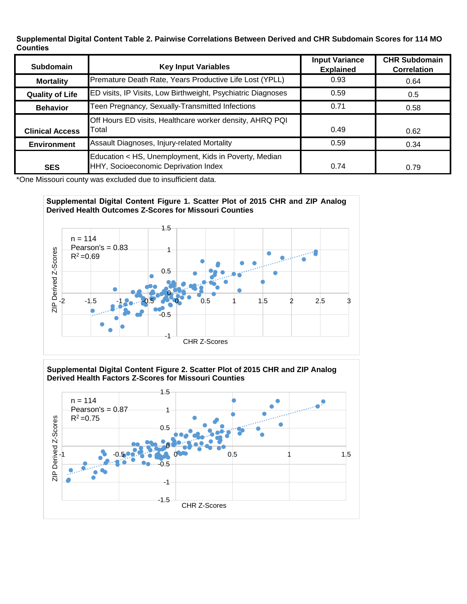**Supplemental Digital Content Table 2. Pairwise Correlations Between Derived and CHR Subdomain Scores for 114 MO Counties**

| Subdomain              | <b>Key Input Variables</b>                                                                    | <b>Input Variance</b><br><b>Explained</b> | <b>CHR Subdomain</b><br><b>Correlation</b> |  |
|------------------------|-----------------------------------------------------------------------------------------------|-------------------------------------------|--------------------------------------------|--|
| <b>Mortality</b>       | Premature Death Rate, Years Productive Life Lost (YPLL)                                       | 0.93                                      | 0.64                                       |  |
| <b>Quality of Life</b> | ED visits, IP Visits, Low Birthweight, Psychiatric Diagnoses                                  | 0.59                                      | 0.5                                        |  |
| <b>Behavior</b>        | Teen Pregnancy, Sexually-Transmitted Infections                                               | 0.71                                      | 0.58                                       |  |
| <b>Clinical Access</b> | Off Hours ED visits, Healthcare worker density, AHRQ PQI<br>Total                             | 0.49                                      | 0.62                                       |  |
| <b>Environment</b>     | Assault Diagnoses, Injury-related Mortality                                                   | 0.59                                      | 0.34                                       |  |
| <b>SES</b>             | Education < HS, Unemployment, Kids in Poverty, Median<br>HHY, Socioeconomic Deprivation Index | 0.74                                      | 0.79                                       |  |

\*One Missouri county was excluded due to insufficient data.





### **Supplemental Digital Content Figure 2. Scatter Plot of 2015 CHR and ZIP Analog Derived Health Factors Z-Scores for Missouri Counties**

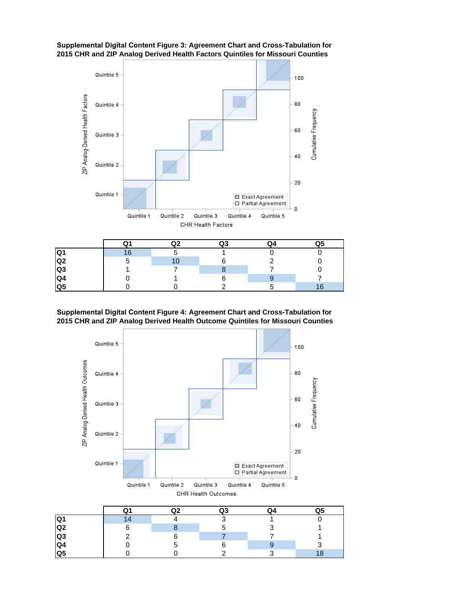

### **Supplemental Digital Content Figure 3: Agreement Chart and Cross-Tabulation for 2015 CHR and ZIP Analog Derived Health Factors Quintiles for Missouri Counties**

|                | $\Omega1$ | Q2 | O3 | Q4 | Q5 |
|----------------|-----------|----|----|----|----|
| lQ1            | 16        |    |    |    |    |
| Q <sub>2</sub> |           |    |    |    |    |
| Q <sub>3</sub> |           |    |    |    |    |
| Q4             |           |    |    |    |    |
| Q <sub>5</sub> |           |    |    |    |    |

#### **Supplemental Digital Content Figure 4: Agreement Chart and Cross-Tabulation for 2015 CHR and ZIP Analog Derived Health Outcome Quintiles for Missouri Counties**

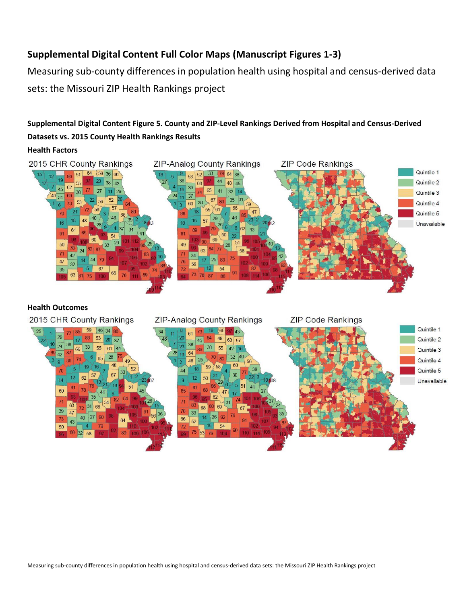# **Supplemental Digital Content Full Color Maps (Manuscript Figures 1-3)**

Measuring sub-county differences in population health using hospital and census-derived data sets: the Missouri ZIP Health Rankings project

# **Supplemental Digital Content Figure 5. County and ZIP-Level Rankings Derived from Hospital and Census-Derived Datasets vs. 2015 County Health Rankings Results**

## **Health Factors**